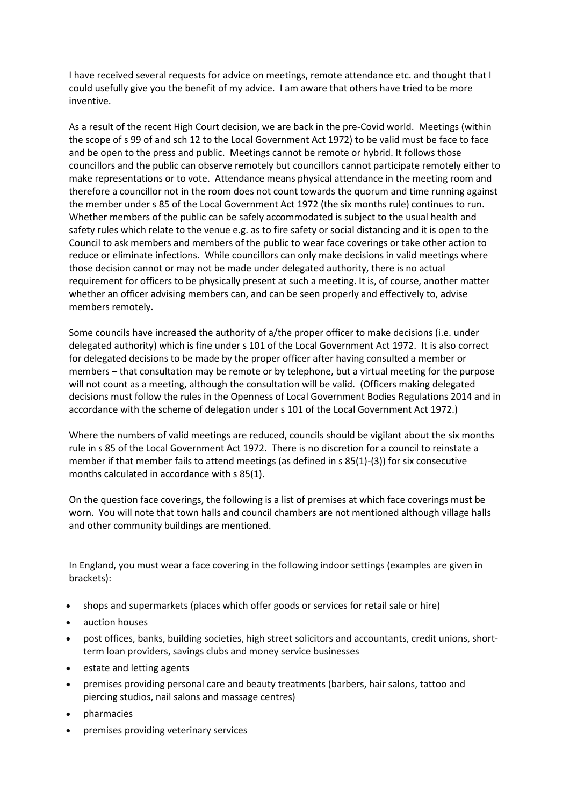I have received several requests for advice on meetings, remote attendance etc. and thought that I could usefully give you the benefit of my advice. I am aware that others have tried to be more inventive.

As a result of the recent High Court decision, we are back in the pre-Covid world. Meetings (within the scope of s 99 of and sch 12 to the Local Government Act 1972) to be valid must be face to face and be open to the press and public. Meetings cannot be remote or hybrid. It follows those councillors and the public can observe remotely but councillors cannot participate remotely either to make representations or to vote. Attendance means physical attendance in the meeting room and therefore a councillor not in the room does not count towards the quorum and time running against the member under s 85 of the Local Government Act 1972 (the six months rule) continues to run. Whether members of the public can be safely accommodated is subject to the usual health and safety rules which relate to the venue e.g. as to fire safety or social distancing and it is open to the Council to ask members and members of the public to wear face coverings or take other action to reduce or eliminate infections. While councillors can only make decisions in valid meetings where those decision cannot or may not be made under delegated authority, there is no actual requirement for officers to be physically present at such a meeting. It is, of course, another matter whether an officer advising members can, and can be seen properly and effectively to, advise members remotely.

Some councils have increased the authority of a/the proper officer to make decisions (i.e. under delegated authority) which is fine under s 101 of the Local Government Act 1972. It is also correct for delegated decisions to be made by the proper officer after having consulted a member or members – that consultation may be remote or by telephone, but a virtual meeting for the purpose will not count as a meeting, although the consultation will be valid. (Officers making delegated decisions must follow the rules in the Openness of Local Government Bodies Regulations 2014 and in accordance with the scheme of delegation under s 101 of the Local Government Act 1972.)

Where the numbers of valid meetings are reduced, councils should be vigilant about the six months rule in s 85 of the Local Government Act 1972. There is no discretion for a council to reinstate a member if that member fails to attend meetings (as defined in s 85(1)-(3)) for six consecutive months calculated in accordance with s 85(1).

On the question face coverings, the following is a list of premises at which face coverings must be worn. You will note that town halls and council chambers are not mentioned although village halls and other community buildings are mentioned.

In England, you must wear a face covering in the following indoor settings (examples are given in brackets):

- shops and supermarkets (places which offer goods or services for retail sale or hire)
- auction houses
- post offices, banks, building societies, high street solicitors and accountants, credit unions, shortterm loan providers, savings clubs and money service businesses
- estate and letting agents
- premises providing personal care and beauty treatments (barbers, hair salons, tattoo and piercing studios, nail salons and massage centres)
- pharmacies
- premises providing veterinary services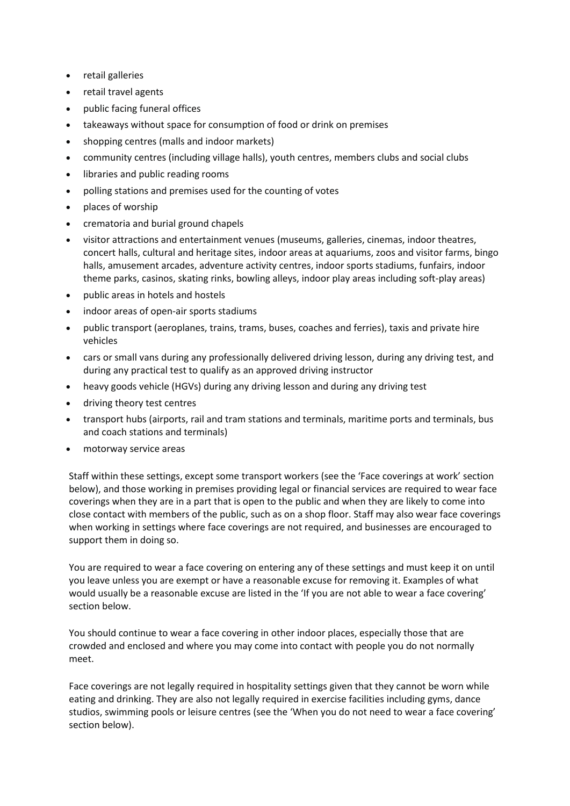- retail galleries
- retail travel agents
- public facing funeral offices
- takeaways without space for consumption of food or drink on premises
- shopping centres (malls and indoor markets)
- community centres (including village halls), youth centres, members clubs and social clubs
- libraries and public reading rooms
- polling stations and premises used for the counting of votes
- places of worship
- crematoria and burial ground chapels
- visitor attractions and entertainment venues (museums, galleries, cinemas, indoor theatres, concert halls, cultural and heritage sites, indoor areas at aquariums, zoos and visitor farms, bingo halls, amusement arcades, adventure activity centres, indoor sports stadiums, funfairs, indoor theme parks, casinos, skating rinks, bowling alleys, indoor play areas including soft-play areas)
- public areas in hotels and hostels
- indoor areas of open-air sports stadiums
- public transport (aeroplanes, trains, trams, buses, coaches and ferries), taxis and private hire vehicles
- cars or small vans during any professionally delivered driving lesson, during any driving test, and during any practical test to qualify as an approved driving instructor
- heavy goods vehicle (HGVs) during any driving lesson and during any driving test
- driving theory test centres
- transport hubs (airports, rail and tram stations and terminals, maritime ports and terminals, bus and coach stations and terminals)
- motorway service areas

Staff within these settings, except some transport workers (see the 'Face coverings at work' section below), and those working in premises providing legal or financial services are required to wear face coverings when they are in a part that is open to the public and when they are likely to come into close contact with members of the public, such as on a shop floor. Staff may also wear face coverings when working in settings where face coverings are not required, and businesses are encouraged to support them in doing so.

You are required to wear a face covering on entering any of these settings and must keep it on until you leave unless you are exempt or have a reasonable excuse for removing it. Examples of what would usually be a reasonable excuse are listed in the 'If you are not able to wear a face covering' section below.

You should continue to wear a face covering in other indoor places, especially those that are crowded and enclosed and where you may come into contact with people you do not normally meet.

Face coverings are not legally required in hospitality settings given that they cannot be worn while eating and drinking. They are also not legally required in exercise facilities including gyms, dance studios, swimming pools or leisure centres (see the 'When you do not need to wear a face covering' section below).